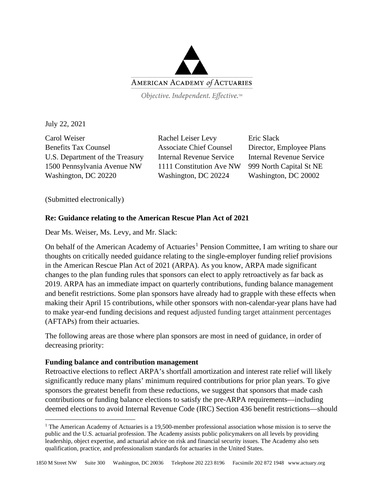

Objective. Independent. Effective.™

July 22, 2021

Carol Weiser Rachel Leiser Levy Eric Slack Benefits Tax Counsel Associate Chief Counsel Director, Employee Plans U.S. Department of the Treasury Internal Revenue Service Internal Revenue Service 1500 Pennsylvania Avenue NW 1111 Constitution Ave NW 999 North Capital St NE Washington, DC 20220 Washington, DC 20224 Washington, DC 20002

(Submitted electronically)

## **Re: Guidance relating to the American Rescue Plan Act of 2021**

Dear Ms. Weiser, Ms. Levy, and Mr. Slack:

On behalf of the American Academy of Actuaries<sup>[1](#page-0-0)</sup> Pension Committee, I am writing to share our thoughts on critically needed guidance relating to the single-employer funding relief provisions in the American Rescue Plan Act of 2021 (ARPA). As you know, ARPA made significant changes to the plan funding rules that sponsors can elect to apply retroactively as far back as 2019. ARPA has an immediate impact on quarterly contributions, funding balance management and benefit restrictions. Some plan sponsors have already had to grapple with these effects when making their April 15 contributions, while other sponsors with non-calendar-year plans have had to make year-end funding decisions and request adjusted funding target attainment percentages (AFTAPs) from their actuaries.

The following areas are those where plan sponsors are most in need of guidance, in order of decreasing priority:

### **Funding balance and contribution management**

Retroactive elections to reflect ARPA's shortfall amortization and interest rate relief will likely significantly reduce many plans' minimum required contributions for prior plan years. To give sponsors the greatest benefit from these reductions, we suggest that sponsors that made cash contributions or funding balance elections to satisfy the pre-ARPA requirements—including deemed elections to avoid Internal Revenue Code (IRC) Section 436 benefit restrictions—should

<span id="page-0-0"></span><sup>&</sup>lt;sup>1</sup> The American Academy of Actuaries is a 19,500-member professional association whose mission is to serve the public and the U.S. actuarial profession. The Academy assists public policymakers on all levels by providing leadership, object expertise, and actuarial advice on risk and financial security issues. The Academy also sets qualification, practice, and professionalism standards for actuaries in the United States.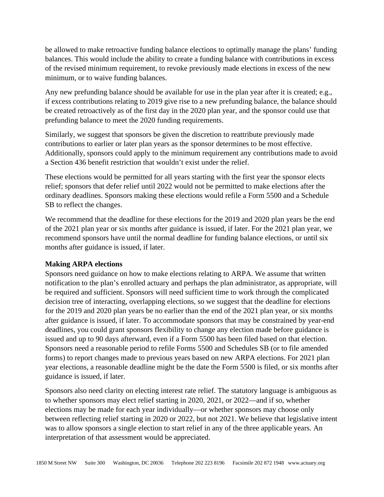be allowed to make retroactive funding balance elections to optimally manage the plans' funding balances. This would include the ability to create a funding balance with contributions in excess of the revised minimum requirement, to revoke previously made elections in excess of the new minimum, or to waive funding balances.

Any new prefunding balance should be available for use in the plan year after it is created; e.g., if excess contributions relating to 2019 give rise to a new prefunding balance, the balance should be created retroactively as of the first day in the 2020 plan year, and the sponsor could use that prefunding balance to meet the 2020 funding requirements.

Similarly, we suggest that sponsors be given the discretion to reattribute previously made contributions to earlier or later plan years as the sponsor determines to be most effective. Additionally, sponsors could apply to the minimum requirement any contributions made to avoid a Section 436 benefit restriction that wouldn't exist under the relief.

These elections would be permitted for all years starting with the first year the sponsor elects relief; sponsors that defer relief until 2022 would not be permitted to make elections after the ordinary deadlines. Sponsors making these elections would refile a Form 5500 and a Schedule SB to reflect the changes.

We recommend that the deadline for these elections for the 2019 and 2020 plan years be the end of the 2021 plan year or six months after guidance is issued, if later. For the 2021 plan year, we recommend sponsors have until the normal deadline for funding balance elections, or until six months after guidance is issued, if later.

# **Making ARPA elections**

Sponsors need guidance on how to make elections relating to ARPA. We assume that written notification to the plan's enrolled actuary and perhaps the plan administrator, as appropriate, will be required and sufficient. Sponsors will need sufficient time to work through the complicated decision tree of interacting, overlapping elections, so we suggest that the deadline for elections for the 2019 and 2020 plan years be no earlier than the end of the 2021 plan year, or six months after guidance is issued, if later. To accommodate sponsors that may be constrained by year-end deadlines, you could grant sponsors flexibility to change any election made before guidance is issued and up to 90 days afterward, even if a Form 5500 has been filed based on that election. Sponsors need a reasonable period to refile Forms 5500 and Schedules SB (or to file amended forms) to report changes made to previous years based on new ARPA elections. For 2021 plan year elections, a reasonable deadline might be the date the Form 5500 is filed, or six months after guidance is issued, if later.

Sponsors also need clarity on electing interest rate relief. The statutory language is ambiguous as to whether sponsors may elect relief starting in 2020, 2021, or 2022—and if so, whether elections may be made for each year individually—or whether sponsors may choose only between reflecting relief starting in 2020 or 2022, but not 2021. We believe that legislative intent was to allow sponsors a single election to start relief in any of the three applicable years. An interpretation of that assessment would be appreciated.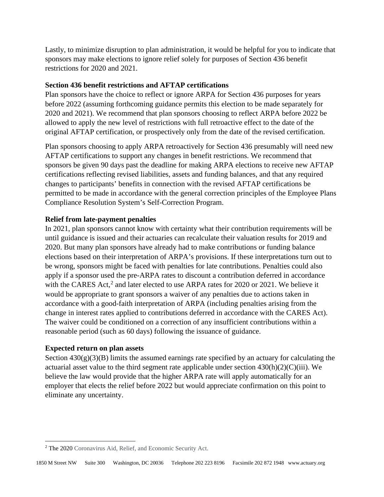Lastly, to minimize disruption to plan administration, it would be helpful for you to indicate that sponsors may make elections to ignore relief solely for purposes of Section 436 benefit restrictions for 2020 and 2021.

## **Section 436 benefit restrictions and AFTAP certifications**

Plan sponsors have the choice to reflect or ignore ARPA for Section 436 purposes for years before 2022 (assuming forthcoming guidance permits this election to be made separately for 2020 and 2021). We recommend that plan sponsors choosing to reflect ARPA before 2022 be allowed to apply the new level of restrictions with full retroactive effect to the date of the original AFTAP certification, or prospectively only from the date of the revised certification.

Plan sponsors choosing to apply ARPA retroactively for Section 436 presumably will need new AFTAP certifications to support any changes in benefit restrictions. We recommend that sponsors be given 90 days past the deadline for making ARPA elections to receive new AFTAP certifications reflecting revised liabilities, assets and funding balances, and that any required changes to participants' benefits in connection with the revised AFTAP certifications be permitted to be made in accordance with the general correction principles of the Employee Plans Compliance Resolution System's Self-Correction Program.

## **Relief from late-payment penalties**

In 2021, plan sponsors cannot know with certainty what their contribution requirements will be until guidance is issued and their actuaries can recalculate their valuation results for 2019 and 2020. But many plan sponsors have already had to make contributions or funding balance elections based on their interpretation of ARPA's provisions. If these interpretations turn out to be wrong, sponsors might be faced with penalties for late contributions. Penalties could also apply if a sponsor used the pre-ARPA rates to discount a contribution deferred in accordance with the CARES Act,<sup>[2](#page-2-0)</sup> and later elected to use ARPA rates for 2020 or 2021. We believe it would be appropriate to grant sponsors a waiver of any penalties due to actions taken in accordance with a good-faith interpretation of ARPA (including penalties arising from the change in interest rates applied to contributions deferred in accordance with the CARES Act). The waiver could be conditioned on a correction of any insufficient contributions within a reasonable period (such as 60 days) following the issuance of guidance.

### **Expected return on plan assets**

Section  $430(g)(3)(B)$  limits the assumed earnings rate specified by an actuary for calculating the actuarial asset value to the third segment rate applicable under section  $430(h)(2)(C)(iii)$ . We believe the law would provide that the higher ARPA rate will apply automatically for an employer that elects the relief before 2022 but would appreciate confirmation on this point to eliminate any uncertainty.

<span id="page-2-0"></span><sup>2</sup> The 2020 Coronavirus Aid, Relief, and Economic Security Act.